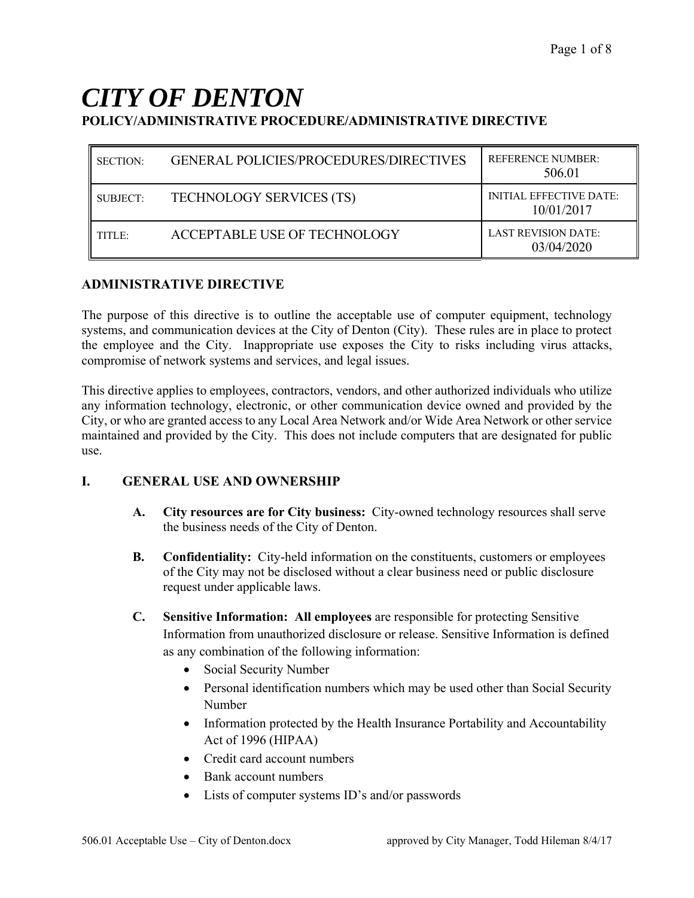# *CITY OF DENTON* **POLICY/ADMINISTRATIVE PROCEDURE/ADMINISTRATIVE DIRECTIVE**

| <b>SECTION:</b> | <b>GENERAL POLICIES/PROCEDURES/DIRECTIVES</b> | <b>REFERENCE NUMBER:</b><br>506.01           |
|-----------------|-----------------------------------------------|----------------------------------------------|
| SUBJECT:        | <b>TECHNOLOGY SERVICES (TS)</b>               | <b>INITIAL EFFECTIVE DATE:</b><br>10/01/2017 |
| TITLE:          | ACCEPTABLE USE OF TECHNOLOGY                  | <b>LAST REVISION DATE:</b><br>03/04/2020     |

## **ADMINISTRATIVE DIRECTIVE**

The purpose of this directive is to outline the acceptable use of computer equipment, technology systems, and communication devices at the City of Denton (City). These rules are in place to protect the employee and the City. Inappropriate use exposes the City to risks including virus attacks, compromise of network systems and services, and legal issues.

This directive applies to employees, contractors, vendors, and other authorized individuals who utilize any information technology, electronic, or other communication device owned and provided by the City, or who are granted access to any Local Area Network and/or Wide Area Network or other service maintained and provided by the City. This does not include computers that are designated for public use.

## **I. GENERAL USE AND OWNERSHIP**

- **A. City resources are for City business:** City-owned technology resources shall serve the business needs of the City of Denton.
- **B. Confidentiality:** City-held information on the constituents, customers or employees of the City may not be disclosed without a clear business need or public disclosure request under applicable laws.
- **C. Sensitive Information: All employees** are responsible for protecting Sensitive Information from unauthorized disclosure or release. Sensitive Information is defined as any combination of the following information:
	- Social Security Number
	- Personal identification numbers which may be used other than Social Security Number
	- Information protected by the Health Insurance Portability and Accountability Act of 1996 (HIPAA)
	- Credit card account numbers
	- Bank account numbers
	- Lists of computer systems ID's and/or passwords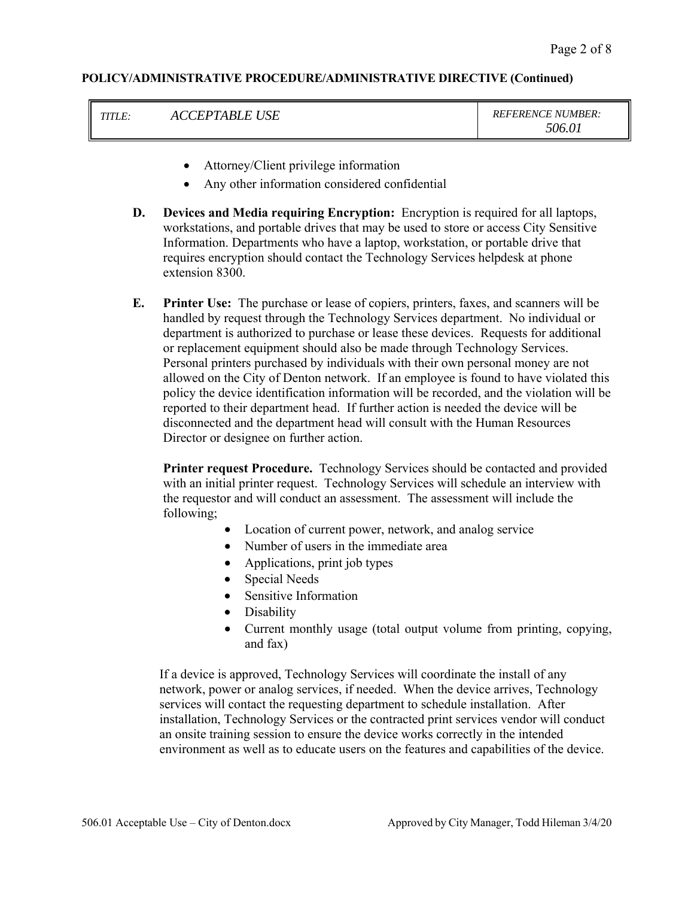|  | CCEPTABLE USE | <b>REFERENCE NUMBER:</b><br>506.01 |
|--|---------------|------------------------------------|
|--|---------------|------------------------------------|

- Attorney/Client privilege information
- Any other information considered confidential
- **D. Devices and Media requiring Encryption:** Encryption is required for all laptops, workstations, and portable drives that may be used to store or access City Sensitive Information. Departments who have a laptop, workstation, or portable drive that requires encryption should contact the Technology Services helpdesk at phone extension 8300.
- **E. Printer Use:** The purchase or lease of copiers, printers, faxes, and scanners will be handled by request through the Technology Services department. No individual or department is authorized to purchase or lease these devices. Requests for additional or replacement equipment should also be made through Technology Services. Personal printers purchased by individuals with their own personal money are not allowed on the City of Denton network. If an employee is found to have violated this policy the device identification information will be recorded, and the violation will be reported to their department head. If further action is needed the device will be disconnected and the department head will consult with the Human Resources Director or designee on further action.

**Printer request Procedure.** Technology Services should be contacted and provided with an initial printer request. Technology Services will schedule an interview with the requestor and will conduct an assessment. The assessment will include the following;

- Location of current power, network, and analog service
- Number of users in the immediate area
- Applications, print job types
- Special Needs
- Sensitive Information
- Disability
- Current monthly usage (total output volume from printing, copying, and fax)

If a device is approved, Technology Services will coordinate the install of any network, power or analog services, if needed. When the device arrives, Technology services will contact the requesting department to schedule installation. After installation, Technology Services or the contracted print services vendor will conduct an onsite training session to ensure the device works correctly in the intended environment as well as to educate users on the features and capabilities of the device.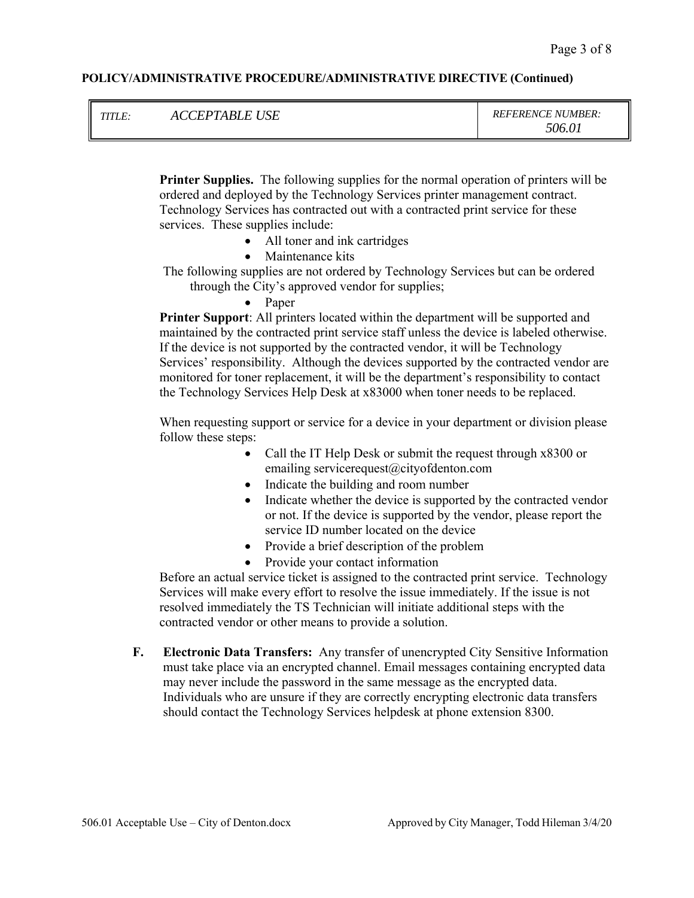| <i>TITLE:</i> | <i>CEPTABLE USE</i><br>ACC | <b>REFERENCE NUMBER:</b><br>506 O I |
|---------------|----------------------------|-------------------------------------|
|---------------|----------------------------|-------------------------------------|

**Printer Supplies.** The following supplies for the normal operation of printers will be ordered and deployed by the Technology Services printer management contract. Technology Services has contracted out with a contracted print service for these services. These supplies include:

- All toner and ink cartridges
- Maintenance kits
- The following supplies are not ordered by Technology Services but can be ordered through the City's approved vendor for supplies;
	- Paper

**Printer Support**: All printers located within the department will be supported and maintained by the contracted print service staff unless the device is labeled otherwise. If the device is not supported by the contracted vendor, it will be Technology Services' responsibility. Although the devices supported by the contracted vendor are monitored for toner replacement, it will be the department's responsibility to contact the Technology Services Help Desk at x83000 when toner needs to be replaced.

When requesting support or service for a device in your department or division please follow these steps:

- Call the IT Help Desk or submit the request through x8300 or emailing servicerequest@cityofdenton.com
- Indicate the building and room number
- Indicate whether the device is supported by the contracted vendor or not. If the device is supported by the vendor, please report the service ID number located on the device
- Provide a brief description of the problem
- Provide your contact information

Before an actual service ticket is assigned to the contracted print service. Technology Services will make every effort to resolve the issue immediately. If the issue is not resolved immediately the TS Technician will initiate additional steps with the contracted vendor or other means to provide a solution.

**F. Electronic Data Transfers:** Any transfer of unencrypted City Sensitive Information must take place via an encrypted channel. Email messages containing encrypted data may never include the password in the same message as the encrypted data. Individuals who are unsure if they are correctly encrypting electronic data transfers should contact the Technology Services helpdesk at phone extension 8300.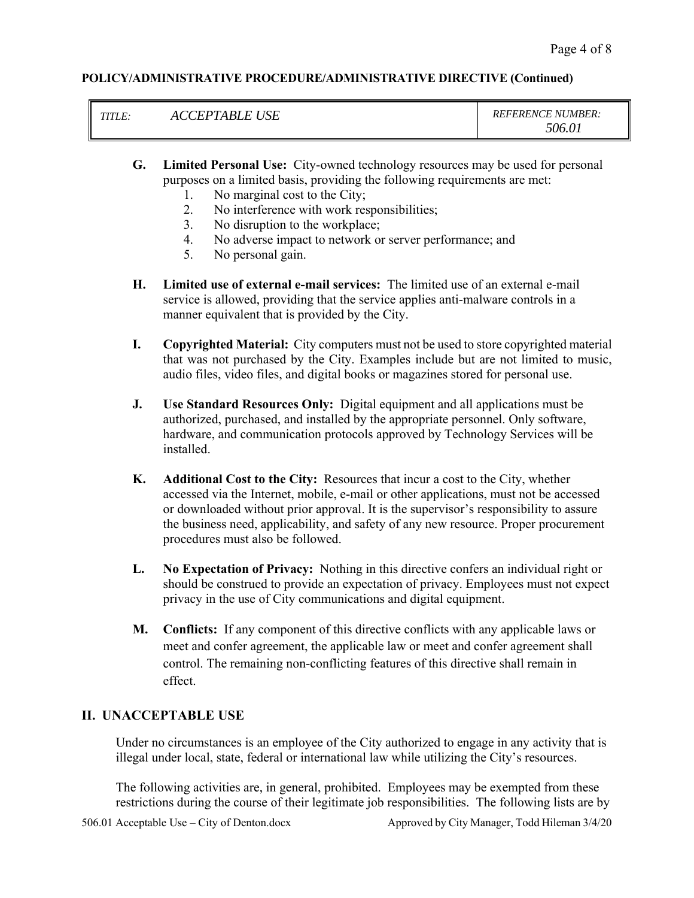| TITI F.        | <b><i>CEPTABLE</i></b> | <b>REFERENCE NUMBER:</b> |
|----------------|------------------------|--------------------------|
| $\blacksquare$ | <b>USE</b>             | 506.01                   |

- **G. Limited Personal Use:** City-owned technology resources may be used for personal purposes on a limited basis, providing the following requirements are met:
	- 1. No marginal cost to the City;
	- 2. No interference with work responsibilities;
	- 3. No disruption to the workplace;
	- 4. No adverse impact to network or server performance; and
	- 5. No personal gain.
- **H. Limited use of external e-mail services:** The limited use of an external e-mail service is allowed, providing that the service applies anti-malware controls in a manner equivalent that is provided by the City.
- **I. Copyrighted Material:** City computers must not be used to store copyrighted material that was not purchased by the City. Examples include but are not limited to music, audio files, video files, and digital books or magazines stored for personal use.
- **J. Use Standard Resources Only:** Digital equipment and all applications must be authorized, purchased, and installed by the appropriate personnel. Only software, hardware, and communication protocols approved by Technology Services will be installed.
- **K. Additional Cost to the City:** Resources that incur a cost to the City, whether accessed via the Internet, mobile, e-mail or other applications, must not be accessed or downloaded without prior approval. It is the supervisor's responsibility to assure the business need, applicability, and safety of any new resource. Proper procurement procedures must also be followed.
- **L. No Expectation of Privacy:** Nothing in this directive confers an individual right or should be construed to provide an expectation of privacy. Employees must not expect privacy in the use of City communications and digital equipment.
- **M. Conflicts:** If any component of this directive conflicts with any applicable laws or meet and confer agreement, the applicable law or meet and confer agreement shall control. The remaining non-conflicting features of this directive shall remain in effect.

## **II. UNACCEPTABLE USE**

Under no circumstances is an employee of the City authorized to engage in any activity that is illegal under local, state, federal or international law while utilizing the City's resources.

The following activities are, in general, prohibited. Employees may be exempted from these restrictions during the course of their legitimate job responsibilities. The following lists are by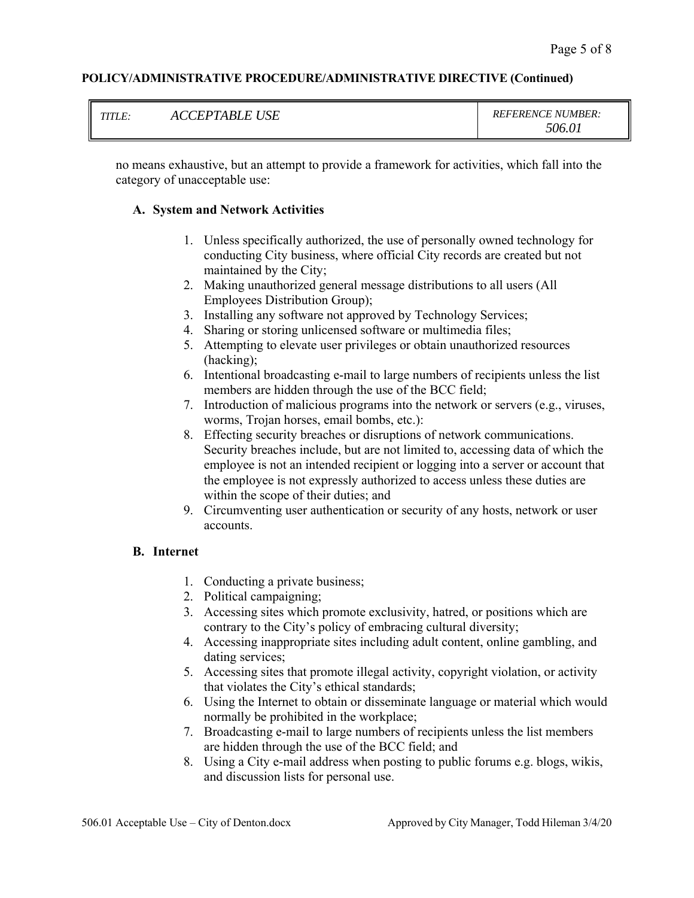|        | <b>USE</b><br><b>CEPTABLE</b> | <b>REFERENCE NUMBER:</b> |
|--------|-------------------------------|--------------------------|
| TITLE. |                               | 506.01                   |

no means exhaustive, but an attempt to provide a framework for activities, which fall into the category of unacceptable use:

#### **A. System and Network Activities**

- 1. Unless specifically authorized, the use of personally owned technology for conducting City business, where official City records are created but not maintained by the City;
- 2. Making unauthorized general message distributions to all users (All Employees Distribution Group);
- 3. Installing any software not approved by Technology Services;
- 4. Sharing or storing unlicensed software or multimedia files;
- 5. Attempting to elevate user privileges or obtain unauthorized resources (hacking);
- 6. Intentional broadcasting e-mail to large numbers of recipients unless the list members are hidden through the use of the BCC field;
- 7. Introduction of malicious programs into the network or servers (e.g., viruses, worms, Trojan horses, email bombs, etc.):
- 8. Effecting security breaches or disruptions of network communications. Security breaches include, but are not limited to, accessing data of which the employee is not an intended recipient or logging into a server or account that the employee is not expressly authorized to access unless these duties are within the scope of their duties; and
- 9. Circumventing user authentication or security of any hosts, network or user accounts.

#### **B. Internet**

- 1. Conducting a private business;
- 2. Political campaigning;
- 3. Accessing sites which promote exclusivity, hatred, or positions which are contrary to the City's policy of embracing cultural diversity;
- 4. Accessing inappropriate sites including adult content, online gambling, and dating services;
- 5. Accessing sites that promote illegal activity, copyright violation, or activity that violates the City's ethical standards;
- 6. Using the Internet to obtain or disseminate language or material which would normally be prohibited in the workplace;
- 7. Broadcasting e-mail to large numbers of recipients unless the list members are hidden through the use of the BCC field; and
- 8. Using a City e-mail address when posting to public forums e.g. blogs, wikis, and discussion lists for personal use.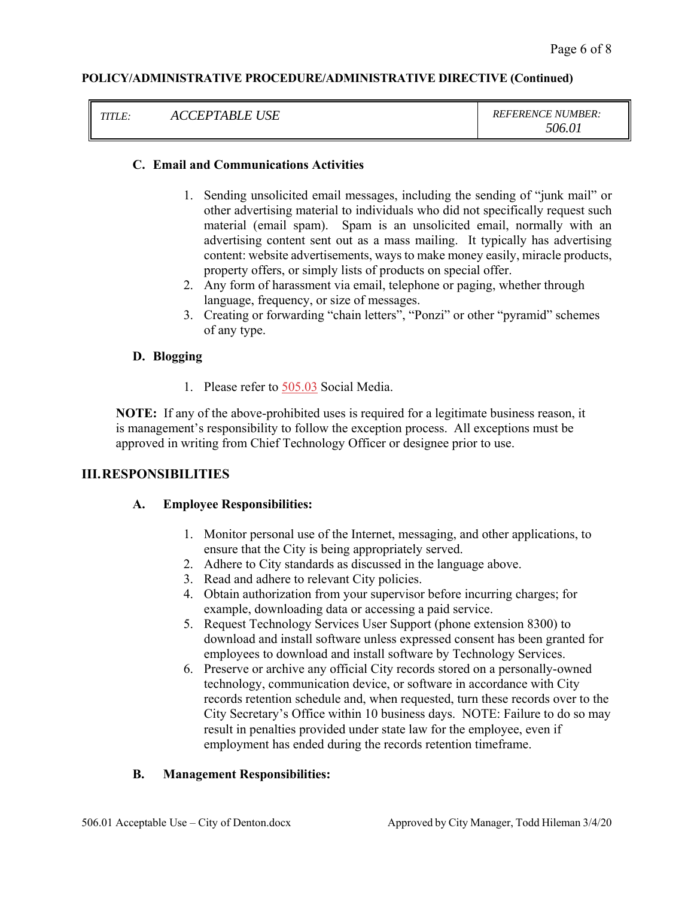| TITI E<br>11 L.C. |
|-------------------|
|-------------------|

#### **C. Email and Communications Activities**

- 1. Sending unsolicited email messages, including the sending of "junk mail" or other advertising material to individuals who did not specifically request such material (email spam). Spam is an unsolicited email, normally with an advertising content sent out as a mass mailing. It typically has advertising content: website advertisements, ways to make money easily, miracle products, property offers, or simply lists of products on special offer.
- 2. Any form of harassment via email, telephone or paging, whether through language, frequency, or size of messages.
- 3. Creating or forwarding "chain letters", "Ponzi" or other "pyramid" schemes of any type.

#### **D. Blogging**

1. Please refer to 505.03 Social Media.

**NOTE:** If any of the above-prohibited uses is required for a legitimate business reason, it is management's responsibility to follow the exception process. All exceptions must be approved in writing from Chief Technology Officer or designee prior to use.

#### **III.RESPONSIBILITIES**

#### **A. Employee Responsibilities:**

- 1. Monitor personal use of the Internet, messaging, and other applications, to ensure that the City is being appropriately served.
- 2. Adhere to City standards as discussed in the language above.
- 3. Read and adhere to relevant City policies.
- 4. Obtain authorization from your supervisor before incurring charges; for example, downloading data or accessing a paid service.
- 5. Request Technology Services User Support (phone extension 8300) to download and install software unless expressed consent has been granted for employees to download and install software by Technology Services.
- 6. Preserve or archive any official City records stored on a personally-owned technology, communication device, or software in accordance with City records retention schedule and, when requested, turn these records over to the City Secretary's Office within 10 business days. NOTE: Failure to do so may result in penalties provided under state law for the employee, even if employment has ended during the records retention timeframe.

#### **B. Management Responsibilities:**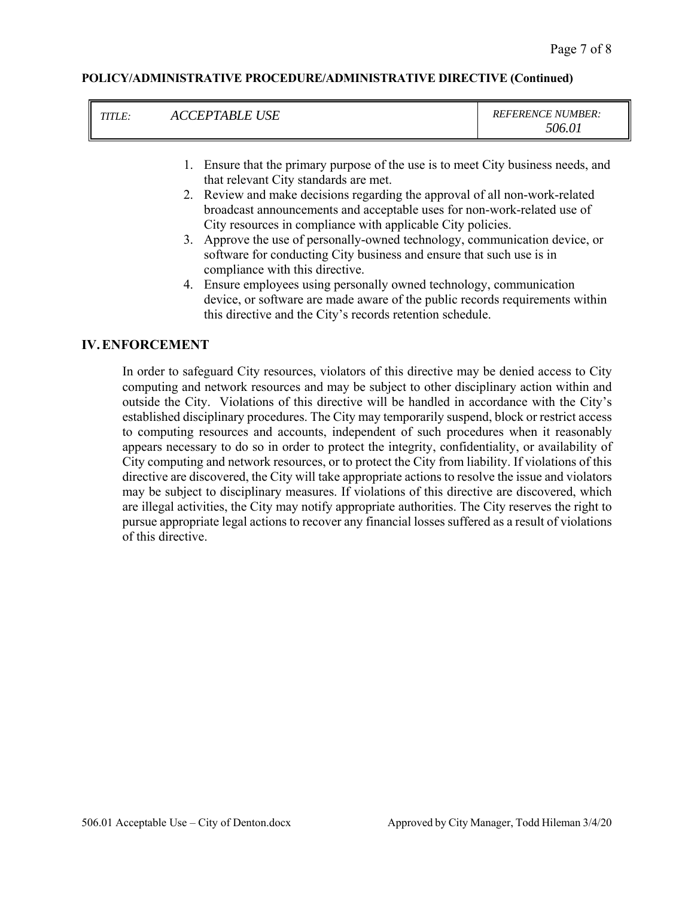| $5060^{\circ}$ | I<br><b>ACCEPTABLE USE</b> | <b>REFERENCE NUMBER:</b> |
|----------------|----------------------------|--------------------------|
|----------------|----------------------------|--------------------------|

- 1. Ensure that the primary purpose of the use is to meet City business needs, and that relevant City standards are met.
- 2. Review and make decisions regarding the approval of all non-work-related broadcast announcements and acceptable uses for non-work-related use of City resources in compliance with applicable City policies.
- 3. Approve the use of personally-owned technology, communication device, or software for conducting City business and ensure that such use is in compliance with this directive.
- 4. Ensure employees using personally owned technology, communication device, or software are made aware of the public records requirements within this directive and the City's records retention schedule.

#### **IV.ENFORCEMENT**

In order to safeguard City resources, violators of this directive may be denied access to City computing and network resources and may be subject to other disciplinary action within and outside the City. Violations of this directive will be handled in accordance with the City's established disciplinary procedures. The City may temporarily suspend, block or restrict access to computing resources and accounts, independent of such procedures when it reasonably appears necessary to do so in order to protect the integrity, confidentiality, or availability of City computing and network resources, or to protect the City from liability. If violations of this directive are discovered, the City will take appropriate actions to resolve the issue and violators may be subject to disciplinary measures. If violations of this directive are discovered, which are illegal activities, the City may notify appropriate authorities. The City reserves the right to pursue appropriate legal actions to recover any financial losses suffered as a result of violations of this directive.